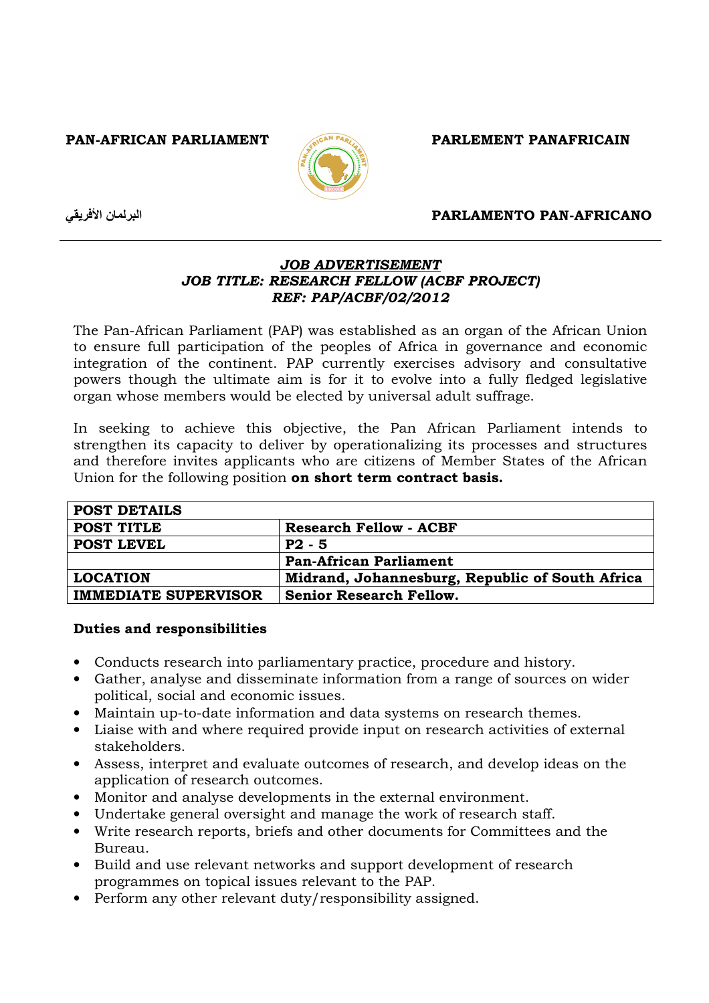PAN-AFRICAN PARLIAMENT ACAN PARLY PARLEMENT PANAFRICAIN



ن الأفريقي

### PARLAMENTO PAN-AFRICANO

# JOB ADVERTISEMENT JOB TITLE: RESEARCH FELLOW (ACBF PROJECT) REF: PAP/ACBF/02/2012

The Pan-African Parliament (PAP) was established as an organ of the African Union to ensure full participation of the peoples of Africa in governance and economic integration of the continent. PAP currently exercises advisory and consultative powers though the ultimate aim is for it to evolve into a fully fledged legislative organ whose members would be elected by universal adult suffrage.

In seeking to achieve this objective, the Pan African Parliament intends to strengthen its capacity to deliver by operationalizing its processes and structures and therefore invites applicants who are citizens of Member States of the African Union for the following position on short term contract basis.

| <b>POST DETAILS</b>         |                                                 |
|-----------------------------|-------------------------------------------------|
| POST TITLE                  | <b>Research Fellow - ACBF</b>                   |
| <b>POST LEVEL</b>           | $P2 - 5$                                        |
|                             | <b>Pan-African Parliament</b>                   |
| <b>LOCATION</b>             | Midrand, Johannesburg, Republic of South Africa |
| <b>IMMEDIATE SUPERVISOR</b> | <b>Senior Research Fellow.</b>                  |

# Duties and responsibilities

- Conducts research into parliamentary practice, procedure and history.
- Gather, analyse and disseminate information from a range of sources on wider political, social and economic issues.
- Maintain up-to-date information and data systems on research themes.
- Liaise with and where required provide input on research activities of external stakeholders.
- Assess, interpret and evaluate outcomes of research, and develop ideas on the application of research outcomes.
- Monitor and analyse developments in the external environment.
- Undertake general oversight and manage the work of research staff.
- Write research reports, briefs and other documents for Committees and the Bureau.
- Build and use relevant networks and support development of research programmes on topical issues relevant to the PAP.
- Perform any other relevant duty/responsibility assigned.